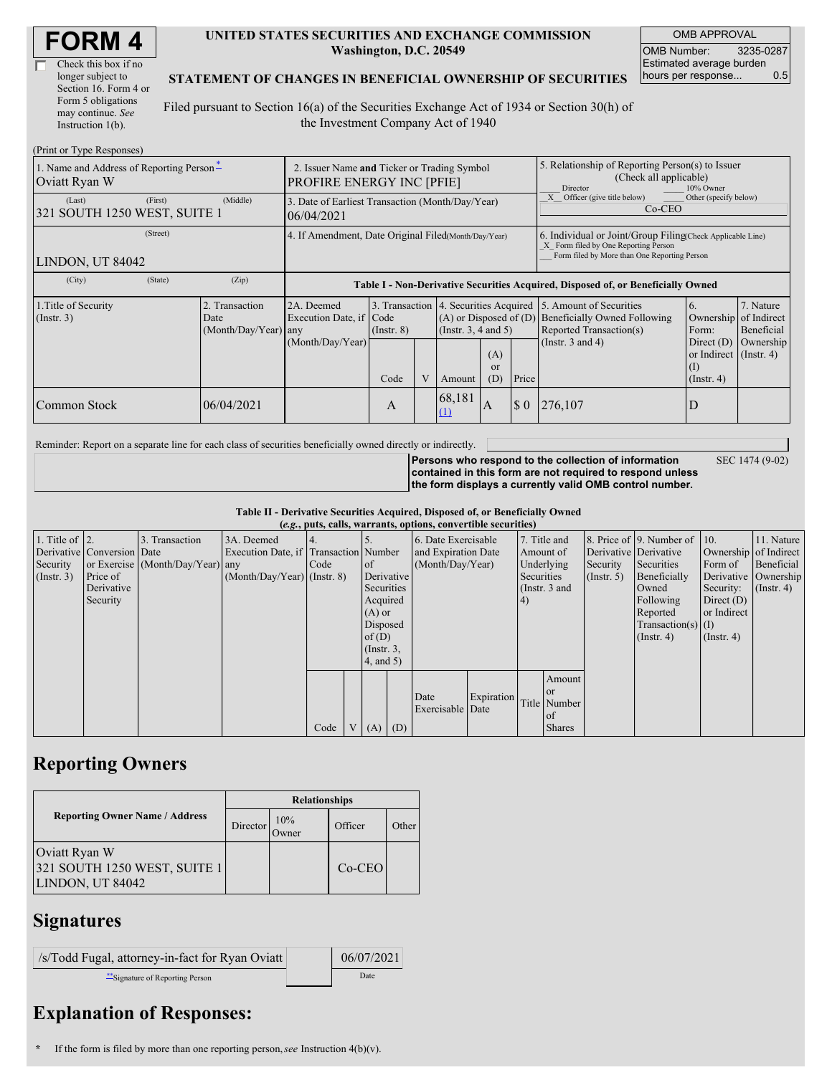| <b>FORM4</b> |
|--------------|
|--------------|

| Check this box if no  |
|-----------------------|
| longer subject to     |
| Section 16. Form 4 or |
| Form 5 obligations    |
| may continue. See     |
| Instruction 1(b).     |

#### **UNITED STATES SECURITIES AND EXCHANGE COMMISSION Washington, D.C. 20549**

OMB APPROVAL OMB Number: 3235-0287 Estimated average burden hours per response... 0.5

#### **STATEMENT OF CHANGES IN BENEFICIAL OWNERSHIP OF SECURITIES**

Filed pursuant to Section 16(a) of the Securities Exchange Act of 1934 or Section 30(h) of the Investment Company Act of 1940

| (Print or Type Responses)                                 |                                                                                 |                                                                                  |                 |  |                                                                                             |                  |                                                                                                                                                    |                                                                                    |                                                                         |                                        |  |
|-----------------------------------------------------------|---------------------------------------------------------------------------------|----------------------------------------------------------------------------------|-----------------|--|---------------------------------------------------------------------------------------------|------------------|----------------------------------------------------------------------------------------------------------------------------------------------------|------------------------------------------------------------------------------------|-------------------------------------------------------------------------|----------------------------------------|--|
| 1. Name and Address of Reporting Person*<br>Oviatt Ryan W | 2. Issuer Name and Ticker or Trading Symbol<br><b>PROFIRE ENERGY INC [PFIE]</b> |                                                                                  |                 |  |                                                                                             |                  | 5. Relationship of Reporting Person(s) to Issuer<br>(Check all applicable)<br>Director<br>10% Owner                                                |                                                                                    |                                                                         |                                        |  |
| (Last)<br>(First)<br>321 SOUTH 1250 WEST, SUITE 1         | (Middle)                                                                        | 3. Date of Earliest Transaction (Month/Day/Year)<br>06/04/2021                   |                 |  |                                                                                             |                  |                                                                                                                                                    | Other (specify below)<br>Officer (give title below)<br>$Co-CEO$                    |                                                                         |                                        |  |
| (Street)<br>LINDON, UT 84042                              | 4. If Amendment, Date Original Filed(Month/Day/Year)                            |                                                                                  |                 |  |                                                                                             |                  | 6. Individual or Joint/Group Filing Check Applicable Line)<br>X Form filed by One Reporting Person<br>Form filed by More than One Reporting Person |                                                                                    |                                                                         |                                        |  |
| (State)<br>(City)                                         | (Zip)                                                                           | Table I - Non-Derivative Securities Acquired, Disposed of, or Beneficially Owned |                 |  |                                                                                             |                  |                                                                                                                                                    |                                                                                    |                                                                         |                                        |  |
| 1. Title of Security<br>(Insert. 3)                       | 2. Transaction<br>Date<br>$(Month/Day/Year)$ any                                | 2A. Deemed<br>Execution Date, if Code                                            | $($ Instr. $8)$ |  | 3. Transaction 4. Securities Acquired<br>$(A)$ or Disposed of $(D)$<br>(Insert. 3, 4 and 5) |                  |                                                                                                                                                    | 5. Amount of Securities<br>Beneficially Owned Following<br>Reported Transaction(s) | 6.<br>Ownership<br>Form:                                                | 7. Nature<br>of Indirect<br>Beneficial |  |
|                                                           |                                                                                 | (Month/Day/Year)                                                                 | Code            |  | Amount                                                                                      | (A)<br>or<br>(D) | Price                                                                                                                                              | (Instr. $3$ and $4$ )                                                              | Direct $(D)$<br>or Indirect $($ Instr. 4 $)$<br>(1)<br>$($ Instr. 4 $)$ | Ownership                              |  |
| Common Stock                                              | 06/04/2021                                                                      |                                                                                  | А               |  | 68,181<br>(1)                                                                               | $\mathbf{A}$     | $\boldsymbol{\mathsf{S}}$ 0                                                                                                                        | 276,107                                                                            |                                                                         |                                        |  |

Reminder: Report on a separate line for each class of securities beneficially owned directly or indirectly.

SEC 1474 (9-02)

**Persons who respond to the collection of information contained in this form are not required to respond unless the form displays a currently valid OMB control number.**

**Table II - Derivative Securities Acquired, Disposed of, or Beneficially Owned**

| (e.g., puts, calls, warrants, options, convertible securities) |                            |                                  |                                       |      |                |                 |            |                     |            |                 |               |               |                              |                       |                      |
|----------------------------------------------------------------|----------------------------|----------------------------------|---------------------------------------|------|----------------|-----------------|------------|---------------------|------------|-----------------|---------------|---------------|------------------------------|-----------------------|----------------------|
| 1. Title of $\vert$ 2.                                         |                            | 3. Transaction                   | 3A. Deemed                            |      |                |                 |            | 6. Date Exercisable |            | 7. Title and    |               |               | 8. Price of 9. Number of 10. |                       | 11. Nature           |
|                                                                | Derivative Conversion Date |                                  | Execution Date, if Transaction Number |      |                |                 |            | and Expiration Date |            | Amount of       |               |               | Derivative Derivative        | Ownership of Indirect |                      |
| Security                                                       |                            | or Exercise (Month/Day/Year) any |                                       | Code |                | of              |            | (Month/Day/Year)    |            | Underlying      |               | Security      | Securities                   | Form of               | Beneficial           |
| $($ Instr. 3 $)$                                               | Price of                   |                                  | $(Month/Day/Year)$ (Instr. 8)         |      |                |                 | Derivative |                     |            | Securities      |               | $($ Instr. 5) | Beneficially                 |                       | Derivative Ownership |
|                                                                | Derivative                 |                                  |                                       |      |                | Securities      |            |                     |            | (Instr. $3$ and |               |               | Owned                        | Security:             | $($ Instr. 4)        |
|                                                                | Security                   |                                  |                                       |      |                | Acquired        |            |                     |            | 4)              |               |               | Following                    | Direct $(D)$          |                      |
|                                                                |                            |                                  |                                       |      |                | $(A)$ or        |            |                     |            |                 |               |               | Reported                     | or Indirect           |                      |
|                                                                |                            |                                  |                                       |      |                | Disposed        |            |                     |            |                 |               |               | $Transaction(s)$ (I)         |                       |                      |
|                                                                |                            |                                  |                                       |      |                | of $(D)$        |            |                     |            |                 |               |               | $($ Instr. 4 $)$             | $($ Instr. 4 $)$      |                      |
|                                                                |                            |                                  |                                       |      |                | $($ Instr. $3,$ |            |                     |            |                 |               |               |                              |                       |                      |
|                                                                |                            |                                  |                                       |      |                | $4$ , and $5$ ) |            |                     |            |                 |               |               |                              |                       |                      |
|                                                                |                            |                                  |                                       |      |                |                 |            |                     |            |                 | Amount        |               |                              |                       |                      |
|                                                                |                            |                                  |                                       |      |                |                 |            | Date                | Expiration |                 | <sub>or</sub> |               |                              |                       |                      |
|                                                                |                            |                                  |                                       |      |                |                 |            | Exercisable Date    |            |                 | Title Number  |               |                              |                       |                      |
|                                                                |                            |                                  |                                       |      |                |                 |            |                     |            |                 | of            |               |                              |                       |                      |
|                                                                |                            |                                  |                                       | Code | V <sub>1</sub> | $(A)$ $(D)$     |            |                     |            |                 | <b>Shares</b> |               |                              |                       |                      |

## **Reporting Owners**

|                                                                   | <b>Relationships</b> |                      |          |       |  |  |  |  |
|-------------------------------------------------------------------|----------------------|----------------------|----------|-------|--|--|--|--|
| <b>Reporting Owner Name / Address</b>                             | Director             | 10%<br><b>J</b> wner | Officer  | Other |  |  |  |  |
| Oviatt Ryan W<br>321 SOUTH 1250 WEST, SUITE 1<br>LINDON, UT 84042 |                      |                      | $Co-CEO$ |       |  |  |  |  |

### **Signatures**

| /s/Todd Fugal, attorney-in-fact for Ryan Oviatt | 06/07/2021 |
|-------------------------------------------------|------------|
| Signature of Reporting Person                   | Date       |

# **Explanation of Responses:**

**<sup>\*</sup>** If the form is filed by more than one reporting person,*see* Instruction 4(b)(v).